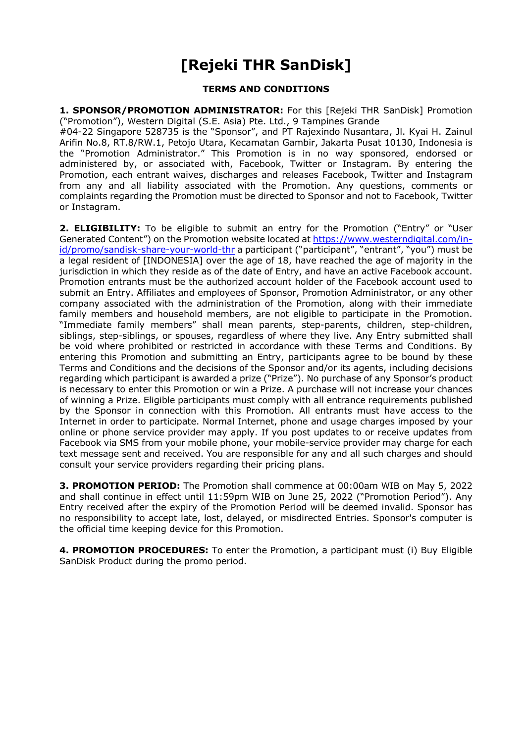# **[Rejeki THR SanDisk]**

## **TERMS AND CONDITIONS**

**1. SPONSOR/PROMOTION ADMINISTRATOR:** For this [Rejeki THR SanDisk] Promotion ("Promotion"), Western Digital (S.E. Asia) Pte. Ltd., 9 Tampines Grande

#04-22 Singapore 528735 is the "Sponsor", and PT Rajexindo Nusantara, Jl. Kyai H. Zainul Arifin No.8, RT.8/RW.1, Petojo Utara, Kecamatan Gambir, Jakarta Pusat 10130, Indonesia is the "Promotion Administrator." This Promotion is in no way sponsored, endorsed or administered by, or associated with, Facebook, Twitter or Instagram. By entering the Promotion, each entrant waives, discharges and releases Facebook, Twitter and Instagram from any and all liability associated with the Promotion. Any questions, comments or complaints regarding the Promotion must be directed to Sponsor and not to Facebook, Twitter or Instagram.

2. **ELIGIBILITY:** To be eligible to submit an entry for the Promotion ("Entry" or "User Generated Content") on the Promotion website located at https://www.westerndigital.com/inid/promo/sandisk-share-your-world-thr a participant ("participant", "entrant", "you") must be a legal resident of [INDONESIA] over the age of 18, have reached the age of majority in the jurisdiction in which they reside as of the date of Entry, and have an active Facebook account. Promotion entrants must be the authorized account holder of the Facebook account used to submit an Entry. Affiliates and employees of Sponsor, Promotion Administrator, or any other company associated with the administration of the Promotion, along with their immediate family members and household members, are not eligible to participate in the Promotion. "Immediate family members" shall mean parents, step-parents, children, step-children, siblings, step-siblings, or spouses, regardless of where they live. Any Entry submitted shall be void where prohibited or restricted in accordance with these Terms and Conditions. By entering this Promotion and submitting an Entry, participants agree to be bound by these Terms and Conditions and the decisions of the Sponsor and/or its agents, including decisions regarding which participant is awarded a prize ("Prize"). No purchase of any Sponsor's product is necessary to enter this Promotion or win a Prize. A purchase will not increase your chances of winning a Prize. Eligible participants must comply with all entrance requirements published by the Sponsor in connection with this Promotion. All entrants must have access to the Internet in order to participate. Normal Internet, phone and usage charges imposed by your online or phone service provider may apply. If you post updates to or receive updates from Facebook via SMS from your mobile phone, your mobile-service provider may charge for each text message sent and received. You are responsible for any and all such charges and should consult your service providers regarding their pricing plans.

**3. PROMOTION PERIOD:** The Promotion shall commence at 00:00am WIB on May 5, 2022 and shall continue in effect until 11:59pm WIB on June 25, 2022 ("Promotion Period"). Any Entry received after the expiry of the Promotion Period will be deemed invalid. Sponsor has no responsibility to accept late, lost, delayed, or misdirected Entries. Sponsor's computer is the official time keeping device for this Promotion.

**4. PROMOTION PROCEDURES:** To enter the Promotion, a participant must (i) Buy Eligible SanDisk Product during the promo period.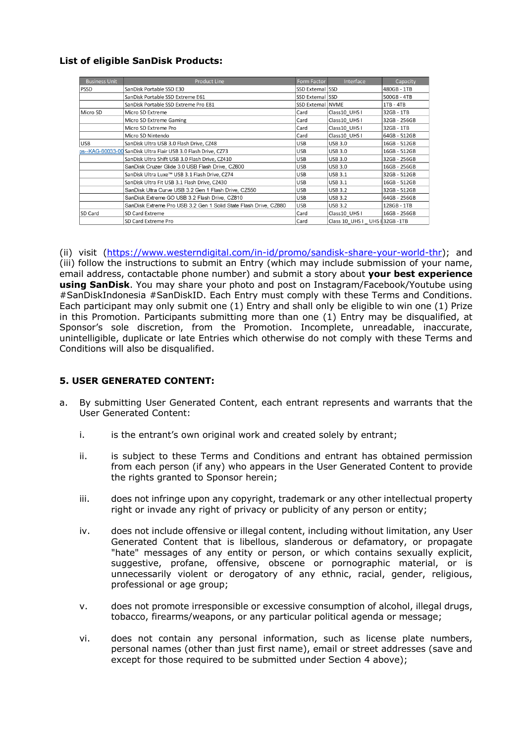## **List of eligible SanDisk Products:**

| <b>Business Unit</b> | <b>Product Line</b>                                              | Form Factor       | Interface                       | Capacity     |
|----------------------|------------------------------------------------------------------|-------------------|---------------------------------|--------------|
| <b>PSSD</b>          | SanDisk Portable SSD E30                                         | SSD External SSD  |                                 | 480GB - 1TB  |
|                      | SanDisk Portable SSD Extreme E61                                 | SSD External SSD  |                                 | 500GB - 4TB  |
|                      | SanDisk Portable SSD Extreme Pro E81                             | SSD External NVME |                                 | $1TB - 4TB$  |
| Micro SD             | Micro SD Extreme                                                 | Card              | Class10_UHS I                   | 32GB - 1TB   |
|                      | Micro SD Extreme Gaming                                          | Card              | Class10_UHS I                   | 32GB - 256GB |
|                      | Micro SD Extreme Pro                                             | Card              | Class10 UHS I                   | 32GB - 1TB   |
|                      | Micro SD Nintendo                                                | Card              | Class10 UHS I                   | 64GB - 512GB |
| <b>USB</b>           | SanDisk Ultra USB 3.0 Flash Drive, CZ48                          | <b>USB</b>        | <b>USB 3.0</b>                  | 16GB - 512GB |
|                      | ps--KAG-60033-00 SanDisk Ultra Flair USB 3.0 Flash Drive, CZ73   | <b>USB</b>        | <b>USB 3.0</b>                  | 16GB - 512GB |
|                      | SanDisk Ultra Shift USB 3.0 Flash Drive, CZ410                   | <b>USB</b>        | <b>USB 3.0</b>                  | 32GB - 256GB |
|                      | SanDisk Cruzer Glide 3.0 USB Flash Drive, CZ600                  | <b>USB</b>        | <b>USB 3.0</b>                  | 16GB - 256GB |
|                      | SanDisk Ultra Luxe™ USB 3.1 Flash Drive, CZ74                    | <b>USB</b>        | <b>USB 3.1</b>                  | 32GB - 512GB |
|                      | SanDisk Ultra Fit USB 3.1 Flash Drive, CZ430                     | <b>USB</b>        | <b>USB 3.1</b>                  | 16GB - 512GB |
|                      | SanDisk Ultra Curve USB 3.2 Gen 1 Flash Drive, CZ550             | USB               | <b>USB 3.2</b>                  | 32GB - 512GB |
|                      | SanDisk Extreme GO USB 3.2 Flash Drive, CZ810                    | <b>USB</b>        | <b>USB 3.2</b>                  | 64GB - 256GB |
|                      | SanDisk Extreme Pro USB 3.2 Gen 1 Solid State Flash Drive, CZ880 | <b>USB</b>        | <b>USB 3.2</b>                  | 128GB - 1TB  |
| SD Card              | SD Card Extreme                                                  | Card              | Class10 UHS I                   | 16GB - 256GB |
|                      | SD Card Extreme Pro                                              | Card              | Class 10 UHS I UHS   32GB - 1TB |              |

(ii) visit (https://www.westerndigital.com/in-id/promo/sandisk-share-your-world-thr); and (iii) follow the instructions to submit an Entry (which may include submission of your name, email address, contactable phone number) and submit a story about **your best experience using SanDisk**. You may share your photo and post on Instagram/Facebook/Youtube using #SanDiskIndonesia #SanDiskID. Each Entry must comply with these Terms and Conditions. Each participant may only submit one (1) Entry and shall only be eligible to win one (1) Prize in this Promotion. Participants submitting more than one (1) Entry may be disqualified, at Sponsor's sole discretion, from the Promotion. Incomplete, unreadable, inaccurate, unintelligible, duplicate or late Entries which otherwise do not comply with these Terms and Conditions will also be disqualified.

## **5. USER GENERATED CONTENT:**

- a. By submitting User Generated Content, each entrant represents and warrants that the User Generated Content:
	- i. is the entrant's own original work and created solely by entrant;
	- ii. is subject to these Terms and Conditions and entrant has obtained permission from each person (if any) who appears in the User Generated Content to provide the rights granted to Sponsor herein;
	- iii. does not infringe upon any copyright, trademark or any other intellectual property right or invade any right of privacy or publicity of any person or entity;
	- iv. does not include offensive or illegal content, including without limitation, any User Generated Content that is libellous, slanderous or defamatory, or propagate "hate" messages of any entity or person, or which contains sexually explicit, suggestive, profane, offensive, obscene or pornographic material, or is unnecessarily violent or derogatory of any ethnic, racial, gender, religious, professional or age group;
	- v. does not promote irresponsible or excessive consumption of alcohol, illegal drugs, tobacco, firearms/weapons, or any particular political agenda or message;
	- vi. does not contain any personal information, such as license plate numbers, personal names (other than just first name), email or street addresses (save and except for those required to be submitted under Section 4 above);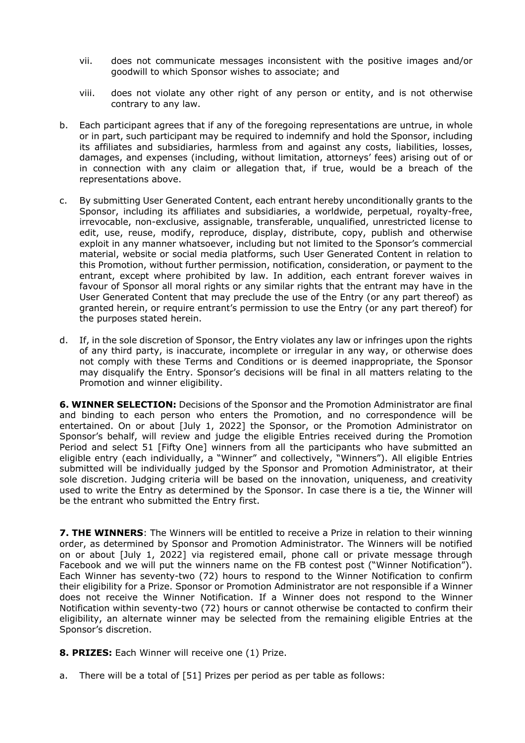- vii. does not communicate messages inconsistent with the positive images and/or goodwill to which Sponsor wishes to associate; and
- viii. does not violate any other right of any person or entity, and is not otherwise contrary to any law.
- b. Each participant agrees that if any of the foregoing representations are untrue, in whole or in part, such participant may be required to indemnify and hold the Sponsor, including its affiliates and subsidiaries, harmless from and against any costs, liabilities, losses, damages, and expenses (including, without limitation, attorneys' fees) arising out of or in connection with any claim or allegation that, if true, would be a breach of the representations above.
- c. By submitting User Generated Content, each entrant hereby unconditionally grants to the Sponsor, including its affiliates and subsidiaries, a worldwide, perpetual, royalty-free, irrevocable, non-exclusive, assignable, transferable, unqualified, unrestricted license to edit, use, reuse, modify, reproduce, display, distribute, copy, publish and otherwise exploit in any manner whatsoever, including but not limited to the Sponsor's commercial material, website or social media platforms, such User Generated Content in relation to this Promotion, without further permission, notification, consideration, or payment to the entrant, except where prohibited by law. In addition, each entrant forever waives in favour of Sponsor all moral rights or any similar rights that the entrant may have in the User Generated Content that may preclude the use of the Entry (or any part thereof) as granted herein, or require entrant's permission to use the Entry (or any part thereof) for the purposes stated herein.
- d. If, in the sole discretion of Sponsor, the Entry violates any law or infringes upon the rights of any third party, is inaccurate, incomplete or irregular in any way, or otherwise does not comply with these Terms and Conditions or is deemed inappropriate, the Sponsor may disqualify the Entry. Sponsor's decisions will be final in all matters relating to the Promotion and winner eligibility.

**6. WINNER SELECTION:** Decisions of the Sponsor and the Promotion Administrator are final and binding to each person who enters the Promotion, and no correspondence will be entertained. On or about [July 1, 2022] the Sponsor, or the Promotion Administrator on Sponsor's behalf, will review and judge the eligible Entries received during the Promotion Period and select 51 [Fifty One] winners from all the participants who have submitted an eligible entry (each individually, a "Winner" and collectively, "Winners"). All eligible Entries submitted will be individually judged by the Sponsor and Promotion Administrator, at their sole discretion. Judging criteria will be based on the innovation, uniqueness, and creativity used to write the Entry as determined by the Sponsor. In case there is a tie, the Winner will be the entrant who submitted the Entry first.

**7. THE WINNERS**: The Winners will be entitled to receive a Prize in relation to their winning order, as determined by Sponsor and Promotion Administrator. The Winners will be notified on or about [July 1, 2022] via registered email, phone call or private message through Facebook and we will put the winners name on the FB contest post ("Winner Notification"). Each Winner has seventy-two (72) hours to respond to the Winner Notification to confirm their eligibility for a Prize. Sponsor or Promotion Administrator are not responsible if a Winner does not receive the Winner Notification. If a Winner does not respond to the Winner Notification within seventy-two (72) hours or cannot otherwise be contacted to confirm their eligibility, an alternate winner may be selected from the remaining eligible Entries at the Sponsor's discretion.

**8. PRIZES:** Each Winner will receive one (1) Prize.

a. There will be a total of [51] Prizes per period as per table as follows: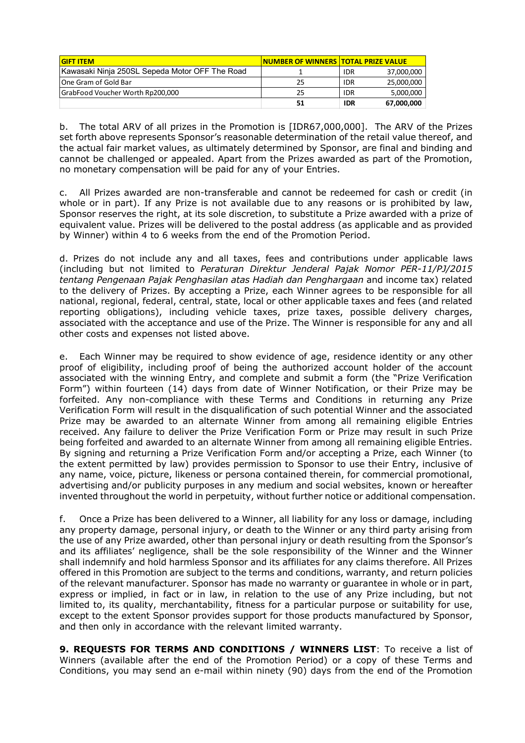| <b>GIFT ITEM</b>                               | <b>NUMBER OF WINNERS TOTAL PRIZE VALUE</b> |            |            |
|------------------------------------------------|--------------------------------------------|------------|------------|
| Kawasaki Ninja 250SL Sepeda Motor OFF The Road |                                            | <b>IDR</b> | 37,000,000 |
| <b>One Gram of Gold Bar</b>                    | 25                                         | <b>IDR</b> | 25,000,000 |
| GrabFood Voucher Worth Rp200,000               | 25                                         | <b>IDR</b> | 5,000,000  |
|                                                | 51                                         | <b>IDR</b> | 67,000,000 |

b. The total ARV of all prizes in the Promotion is [IDR67,000,000]. The ARV of the Prizes set forth above represents Sponsor's reasonable determination of the retail value thereof, and the actual fair market values, as ultimately determined by Sponsor, are final and binding and cannot be challenged or appealed. Apart from the Prizes awarded as part of the Promotion, no monetary compensation will be paid for any of your Entries.

c. All Prizes awarded are non-transferable and cannot be redeemed for cash or credit (in whole or in part). If any Prize is not available due to any reasons or is prohibited by law, Sponsor reserves the right, at its sole discretion, to substitute a Prize awarded with a prize of equivalent value. Prizes will be delivered to the postal address (as applicable and as provided by Winner) within 4 to 6 weeks from the end of the Promotion Period.

d. Prizes do not include any and all taxes, fees and contributions under applicable laws (including but not limited to *Peraturan Direktur Jenderal Pajak Nomor PER-11/PJ/2015 tentang Pengenaan Pajak Penghasilan atas Hadiah dan Penghargaan* and income tax) related to the delivery of Prizes. By accepting a Prize, each Winner agrees to be responsible for all national, regional, federal, central, state, local or other applicable taxes and fees (and related reporting obligations), including vehicle taxes, prize taxes, possible delivery charges, associated with the acceptance and use of the Prize. The Winner is responsible for any and all other costs and expenses not listed above.

e. Each Winner may be required to show evidence of age, residence identity or any other proof of eligibility, including proof of being the authorized account holder of the account associated with the winning Entry, and complete and submit a form (the "Prize Verification Form") within fourteen (14) days from date of Winner Notification, or their Prize may be forfeited. Any non-compliance with these Terms and Conditions in returning any Prize Verification Form will result in the disqualification of such potential Winner and the associated Prize may be awarded to an alternate Winner from among all remaining eligible Entries received. Any failure to deliver the Prize Verification Form or Prize may result in such Prize being forfeited and awarded to an alternate Winner from among all remaining eligible Entries. By signing and returning a Prize Verification Form and/or accepting a Prize, each Winner (to the extent permitted by law) provides permission to Sponsor to use their Entry, inclusive of any name, voice, picture, likeness or persona contained therein, for commercial promotional, advertising and/or publicity purposes in any medium and social websites, known or hereafter invented throughout the world in perpetuity, without further notice or additional compensation.

f. Once a Prize has been delivered to a Winner, all liability for any loss or damage, including any property damage, personal injury, or death to the Winner or any third party arising from the use of any Prize awarded, other than personal injury or death resulting from the Sponsor's and its affiliates' negligence, shall be the sole responsibility of the Winner and the Winner shall indemnify and hold harmless Sponsor and its affiliates for any claims therefore. All Prizes offered in this Promotion are subject to the terms and conditions, warranty, and return policies of the relevant manufacturer. Sponsor has made no warranty or guarantee in whole or in part, express or implied, in fact or in law, in relation to the use of any Prize including, but not limited to, its quality, merchantability, fitness for a particular purpose or suitability for use, except to the extent Sponsor provides support for those products manufactured by Sponsor, and then only in accordance with the relevant limited warranty.

**9. REQUESTS FOR TERMS AND CONDITIONS / WINNERS LIST**: To receive a list of Winners (available after the end of the Promotion Period) or a copy of these Terms and Conditions, you may send an e-mail within ninety (90) days from the end of the Promotion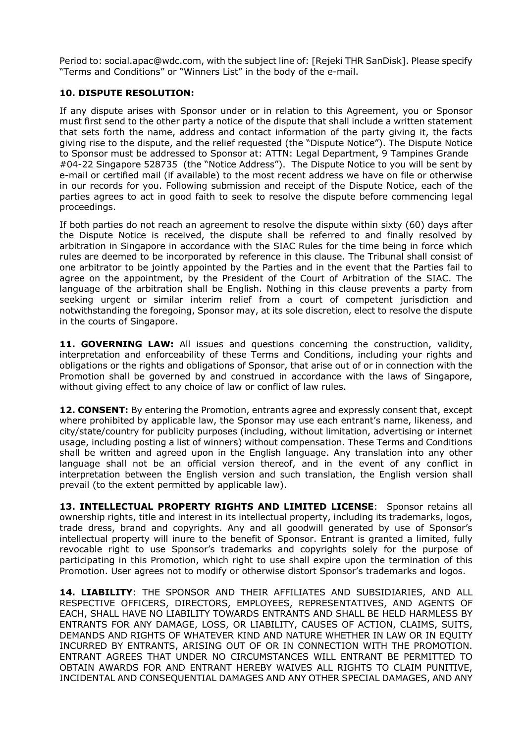Period to: social.apac@wdc.com, with the subject line of: [Rejeki THR SanDisk]. Please specify "Terms and Conditions" or "Winners List" in the body of the e-mail.

## **10. DISPUTE RESOLUTION:**

If any dispute arises with Sponsor under or in relation to this Agreement, you or Sponsor must first send to the other party a notice of the dispute that shall include a written statement that sets forth the name, address and contact information of the party giving it, the facts giving rise to the dispute, and the relief requested (the "Dispute Notice"). The Dispute Notice to Sponsor must be addressed to Sponsor at: ATTN: Legal Department, 9 Tampines Grande #04-22 Singapore 528735 (the "Notice Address"). The Dispute Notice to you will be sent by e-mail or certified mail (if available) to the most recent address we have on file or otherwise in our records for you. Following submission and receipt of the Dispute Notice, each of the parties agrees to act in good faith to seek to resolve the dispute before commencing legal proceedings.

If both parties do not reach an agreement to resolve the dispute within sixty (60) days after the Dispute Notice is received, the dispute shall be referred to and finally resolved by arbitration in Singapore in accordance with the SIAC Rules for the time being in force which rules are deemed to be incorporated by reference in this clause. The Tribunal shall consist of one arbitrator to be jointly appointed by the Parties and in the event that the Parties fail to agree on the appointment, by the President of the Court of Arbitration of the SIAC. The language of the arbitration shall be English. Nothing in this clause prevents a party from seeking urgent or similar interim relief from a court of competent jurisdiction and notwithstanding the foregoing, Sponsor may, at its sole discretion, elect to resolve the dispute in the courts of Singapore.

**11. GOVERNING LAW:** All issues and questions concerning the construction, validity, interpretation and enforceability of these Terms and Conditions, including your rights and obligations or the rights and obligations of Sponsor, that arise out of or in connection with the Promotion shall be governed by and construed in accordance with the laws of Singapore, without giving effect to any choice of law or conflict of law rules.

12. CONSENT: By entering the Promotion, entrants agree and expressly consent that, except where prohibited by applicable law, the Sponsor may use each entrant's name, likeness, and city/state/country for publicity purposes (including, without limitation, advertising or internet usage, including posting a list of winners) without compensation. These Terms and Conditions shall be written and agreed upon in the English language. Any translation into any other language shall not be an official version thereof, and in the event of any conflict in interpretation between the English version and such translation, the English version shall prevail (to the extent permitted by applicable law).

**13. INTELLECTUAL PROPERTY RIGHTS AND LIMITED LICENSE**: Sponsor retains all ownership rights, title and interest in its intellectual property, including its trademarks, logos, trade dress, brand and copyrights. Any and all goodwill generated by use of Sponsor's intellectual property will inure to the benefit of Sponsor. Entrant is granted a limited, fully revocable right to use Sponsor's trademarks and copyrights solely for the purpose of participating in this Promotion, which right to use shall expire upon the termination of this Promotion. User agrees not to modify or otherwise distort Sponsor's trademarks and logos.

**14. LIABILITY**: THE SPONSOR AND THEIR AFFILIATES AND SUBSIDIARIES, AND ALL RESPECTIVE OFFICERS, DIRECTORS, EMPLOYEES, REPRESENTATIVES, AND AGENTS OF EACH, SHALL HAVE NO LIABILITY TOWARDS ENTRANTS AND SHALL BE HELD HARMLESS BY ENTRANTS FOR ANY DAMAGE, LOSS, OR LIABILITY, CAUSES OF ACTION, CLAIMS, SUITS, DEMANDS AND RIGHTS OF WHATEVER KIND AND NATURE WHETHER IN LAW OR IN EQUITY INCURRED BY ENTRANTS, ARISING OUT OF OR IN CONNECTION WITH THE PROMOTION. ENTRANT AGREES THAT UNDER NO CIRCUMSTANCES WILL ENTRANT BE PERMITTED TO OBTAIN AWARDS FOR AND ENTRANT HEREBY WAIVES ALL RIGHTS TO CLAIM PUNITIVE, INCIDENTAL AND CONSEQUENTIAL DAMAGES AND ANY OTHER SPECIAL DAMAGES, AND ANY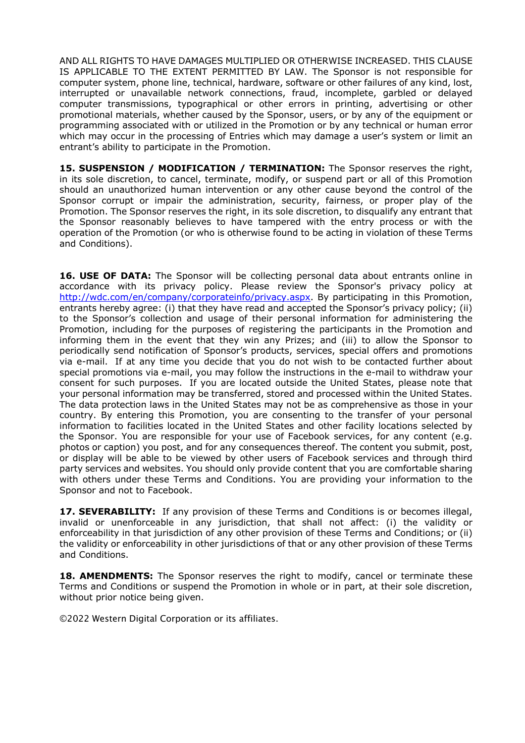AND ALL RIGHTS TO HAVE DAMAGES MULTIPLIED OR OTHERWISE INCREASED. THIS CLAUSE IS APPLICABLE TO THE EXTENT PERMITTED BY LAW. The Sponsor is not responsible for computer system, phone line, technical, hardware, software or other failures of any kind, lost, interrupted or unavailable network connections, fraud, incomplete, garbled or delayed computer transmissions, typographical or other errors in printing, advertising or other promotional materials, whether caused by the Sponsor, users, or by any of the equipment or programming associated with or utilized in the Promotion or by any technical or human error which may occur in the processing of Entries which may damage a user's system or limit an entrant's ability to participate in the Promotion.

**15. SUSPENSION / MODIFICATION / TERMINATION:** The Sponsor reserves the right, in its sole discretion, to cancel, terminate, modify, or suspend part or all of this Promotion should an unauthorized human intervention or any other cause beyond the control of the Sponsor corrupt or impair the administration, security, fairness, or proper play of the Promotion. The Sponsor reserves the right, in its sole discretion, to disqualify any entrant that the Sponsor reasonably believes to have tampered with the entry process or with the operation of the Promotion (or who is otherwise found to be acting in violation of these Terms and Conditions).

**16. USE OF DATA:** The Sponsor will be collecting personal data about entrants online in accordance with its privacy policy. Please review the Sponsor's privacy policy at http://wdc.com/en/company/corporateinfo/privacy.aspx. By participating in this Promotion, entrants hereby agree: (i) that they have read and accepted the Sponsor's privacy policy; (ii) to the Sponsor's collection and usage of their personal information for administering the Promotion, including for the purposes of registering the participants in the Promotion and informing them in the event that they win any Prizes; and (iii) to allow the Sponsor to periodically send notification of Sponsor's products, services, special offers and promotions via e-mail. If at any time you decide that you do not wish to be contacted further about special promotions via e-mail, you may follow the instructions in the e-mail to withdraw your consent for such purposes. If you are located outside the United States, please note that your personal information may be transferred, stored and processed within the United States. The data protection laws in the United States may not be as comprehensive as those in your country. By entering this Promotion, you are consenting to the transfer of your personal information to facilities located in the United States and other facility locations selected by the Sponsor. You are responsible for your use of Facebook services, for any content (e.g. photos or caption) you post, and for any consequences thereof. The content you submit, post, or display will be able to be viewed by other users of Facebook services and through third party services and websites. You should only provide content that you are comfortable sharing with others under these Terms and Conditions. You are providing your information to the Sponsor and not to Facebook.

**17. SEVERABILITY:** If any provision of these Terms and Conditions is or becomes illegal, invalid or unenforceable in any jurisdiction, that shall not affect: (i) the validity or enforceability in that jurisdiction of any other provision of these Terms and Conditions; or (ii) the validity or enforceability in other jurisdictions of that or any other provision of these Terms and Conditions.

**18. AMENDMENTS:** The Sponsor reserves the right to modify, cancel or terminate these Terms and Conditions or suspend the Promotion in whole or in part, at their sole discretion, without prior notice being given.

©2022 Western Digital Corporation or its affiliates.